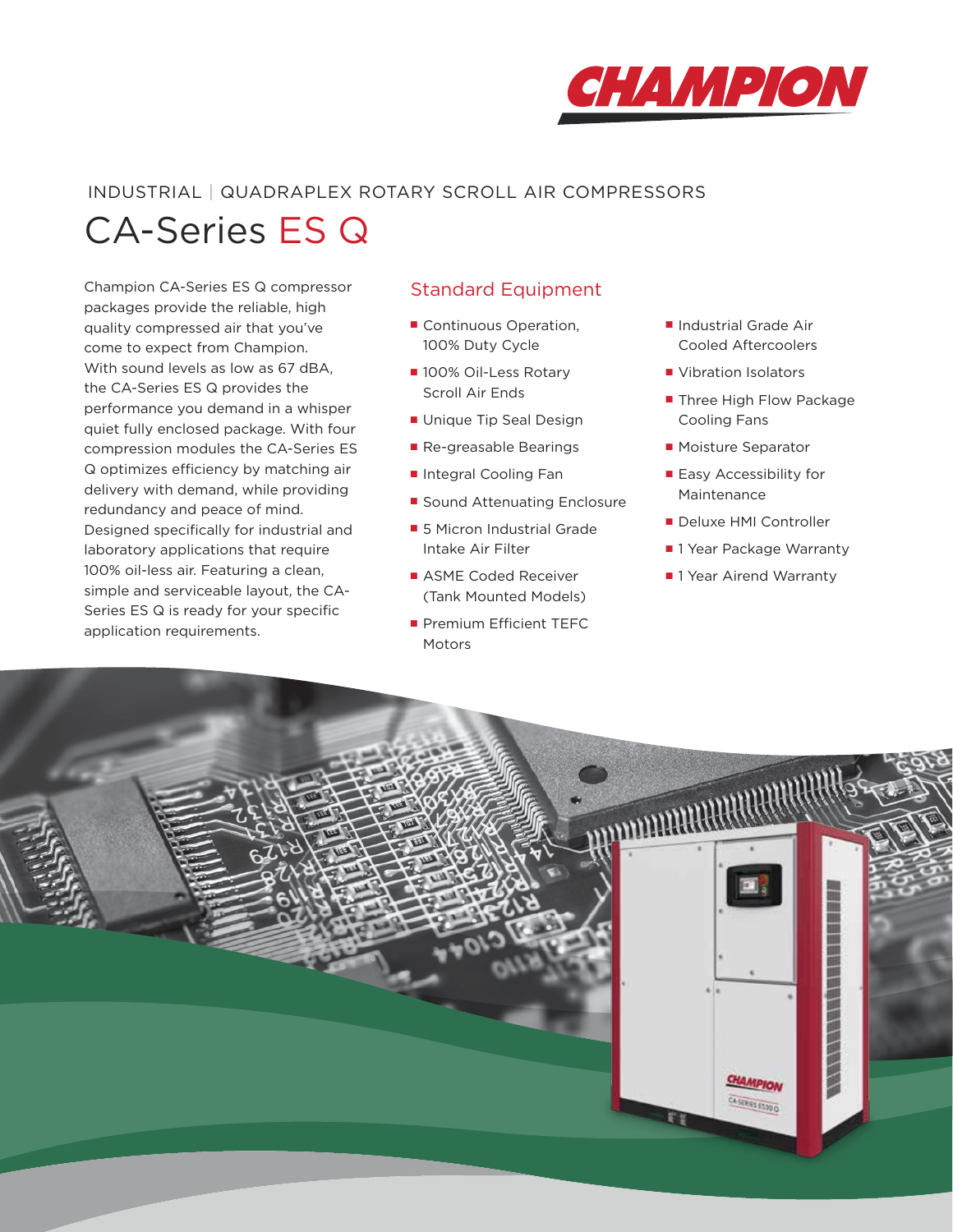

# INDUSTRIAL | QUADRAPLEX ROTARY SCROLL AIR COMPRESSORS

CA-Series ES Q

Champion CA-Series ES Q compressor packages provide the reliable, high quality compressed air that you've come to expect from Champion. With sound levels as low as 67 dBA, the CA-Series ES Q provides the performance you demand in a whisper quiet fully enclosed package. With four compression modules the CA-Series ES Q optimizes efficiency by matching air delivery with demand, while providing redundancy and peace of mind. Designed specifically for industrial and laboratory applications that require 100% oil-less air. Featuring a clean, simple and serviceable layout, the CA-Series ES Q is ready for your specific application requirements.

# Standard Equipment

- Continuous Operation, 100% Duty Cycle
- 100% Oil-Less Rotary Scroll Air Ends
- Unique Tip Seal Design
- Re-greasable Bearings
- Integral Cooling Fan
- Sound Attenuating Enclosure
- 5 Micron Industrial Grade Intake Air Filter
- ASME Coded Receiver (Tank Mounted Models)
- Premium Efficient TEFC Motors
- Industrial Grade Air Cooled Aftercoolers
- Vibration Isolators
- Three High Flow Package Cooling Fans
- Moisture Separator
- Easy Accessibility for Maintenance
- Deluxe HMI Controller
- 1 Year Package Warranty
- 1 Year Airend Warranty